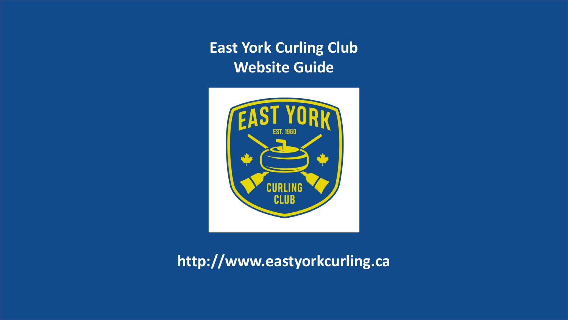

### **http://www.eastyorkcurling.ca**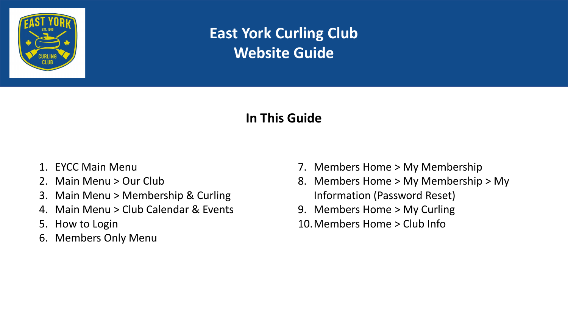

#### **In This Guide**

- 1. EYCC Main Menu
- 2. Main Menu > Our Club
- 3. Main Menu > Membership & Curling
- 4. Main Menu > Club Calendar & Events
- 5. How to Login
- 6. Members Only Menu
- 7. Members Home > My Membership
- 8. Members Home > My Membership > My Information (Password Reset)
- 9. Members Home > My Curling
- 10.Members Home > Club Info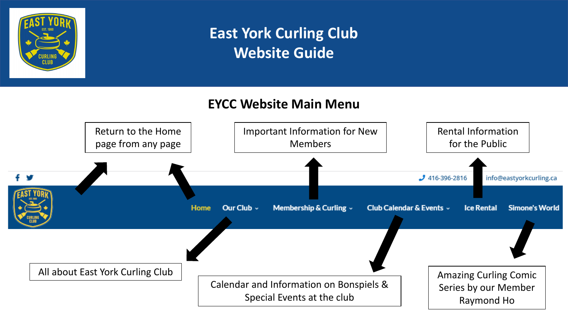

#### **EYCC Website Main Menu**

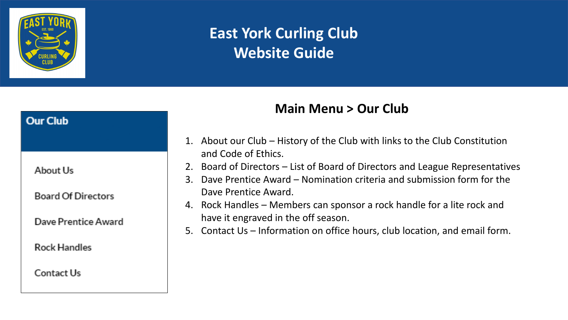

# **Our Club** About Us **Board Of Directors** Dave Prentice Award **Rock Handles** Contact Us

### **Main Menu > Our Club**

- 1. About our Club History of the Club with links to the Club Constitution and Code of Ethics.
- 2. Board of Directors List of Board of Directors and League Representatives
- 3. Dave Prentice Award Nomination criteria and submission form for the Dave Prentice Award.
- 4. Rock Handles Members can sponsor a rock handle for a lite rock and have it engraved in the off season.
- 5. Contact Us Information on office hours, club location, and email form.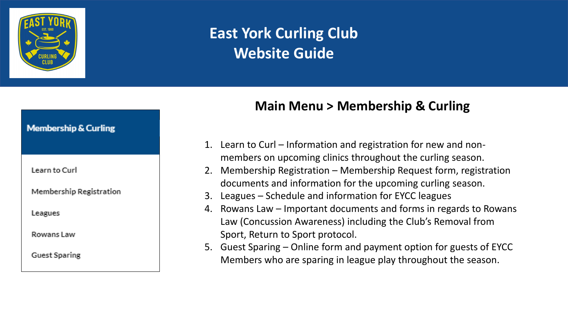

#### **Main Menu > Membership & Curling**

- 1. Learn to Curl Information and registration for new and nonmembers on upcoming clinics throughout the curling season.
- 2. Membership Registration Membership Request form, registration documents and information for the upcoming curling season.
- 3. Leagues Schedule and information for EYCC leagues
- 4. Rowans Law Important documents and forms in regards to Rowans Law (Concussion Awareness) including the Club's Removal from Sport, Return to Sport protocol.
- 5. Guest Sparing Online form and payment option for guests of EYCC Members who are sparing in league play throughout the season.

#### **Membership & Curling**

Learn to Curl

**Membership Registration** 

Leagues

Rowans Law

**Guest Sparing**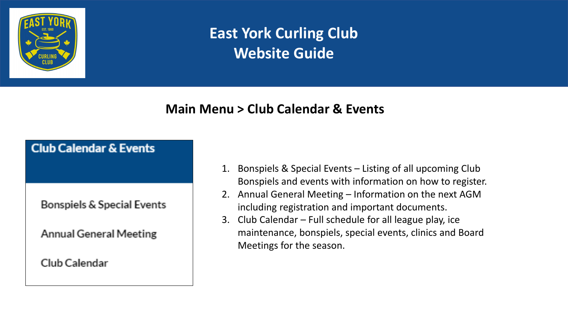

#### **Main Menu > Club Calendar & Events**

#### **Club Calendar & Events**

**Bonspiels & Special Events** 

**Annual General Meeting** 

Club Calendar

- 1. Bonspiels & Special Events Listing of all upcoming Club Bonspiels and events with information on how to register.
- 2. Annual General Meeting Information on the next AGM including registration and important documents.
- 3. Club Calendar Full schedule for all league play, ice maintenance, bonspiels, special events, clinics and Board Meetings for the season.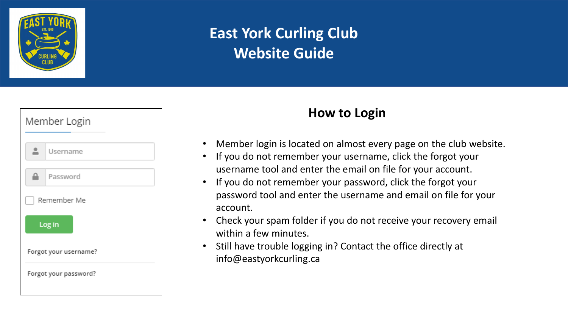

| Member Login          |          |  |
|-----------------------|----------|--|
|                       | Username |  |
|                       | Password |  |
| Remember Me           |          |  |
| Log in                |          |  |
| Forgot your username? |          |  |
| Forgot your password? |          |  |

#### **How to Login**

- Member login is located on almost every page on the club website.
- If you do not remember your username, click the forgot your username tool and enter the email on file for your account.
- If you do not remember your password, click the forgot your password tool and enter the username and email on file for your account.
- Check your spam folder if you do not receive your recovery email within a few minutes.
- Still have trouble logging in? Contact the office directly at info@eastyorkcurling.ca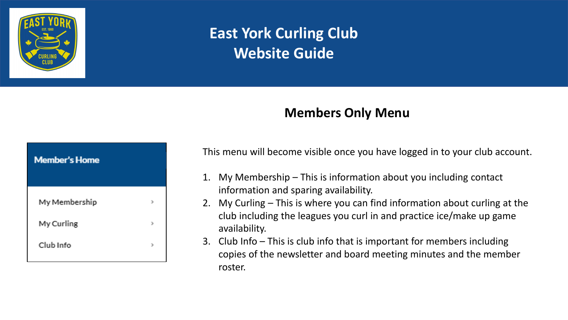

#### **Members Only Menu**

| <b>Member's Home</b> |  |
|----------------------|--|
| My Membership        |  |
| My Curling           |  |
| Club Info            |  |

This menu will become visible once you have logged in to your club account.

- 1. My Membership This is information about you including contact information and sparing availability.
- 2. My Curling This is where you can find information about curling at the club including the leagues you curl in and practice ice/make up game availability.
- 3. Club Info This is club info that is important for members including copies of the newsletter and board meeting minutes and the member roster.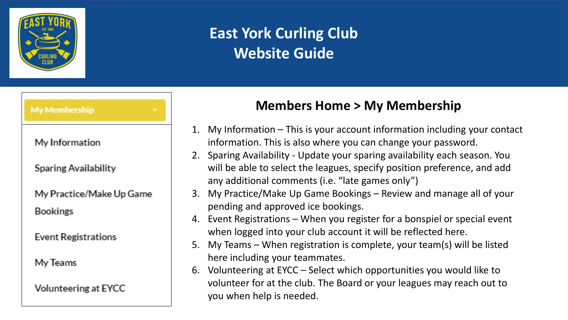

#### **My Membership**

My Information

**Sparing Availability** 

My Practice/Make Up Game

**Bookings** 

**Event Registrations** 

My Teams

Volunteering at EYCC

#### **Members Home > My Membership**

- 1. My Information This is your account information including your contact information. This is also where you can change your password.
- 2. Sparing Availability Update your sparing availability each season. You will be able to select the leagues, specify position preference, and add any additional comments (i.e. "late games only")
- 3. My Practice/Make Up Game Bookings Review and manage all of your pending and approved ice bookings.
- 4. Event Registrations When you register for a bonspiel or special event when logged into your club account it will be reflected here.
- 5. My Teams When registration is complete, your team(s) will be listed here including your teammates.
- 6. Volunteering at EYCC Select which opportunities you would like to volunteer for at the club. The Board or your leagues may reach out to you when help is needed.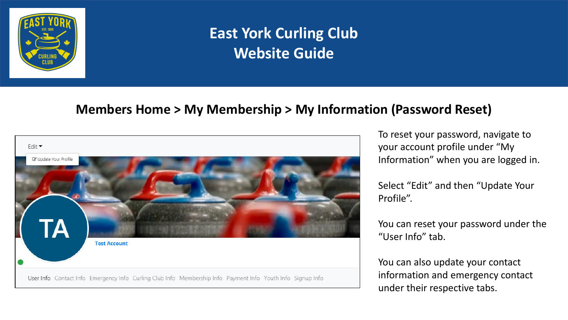

#### **Members Home > My Membership > My Information (Password Reset)**



To reset your password, navigate to your account profile under "My Information" when you are logged in.

Select "Edit" and then "Update Your Profile".

You can reset your password under the "User Info" tab.

You can also update your contact information and emergency contact under their respective tabs.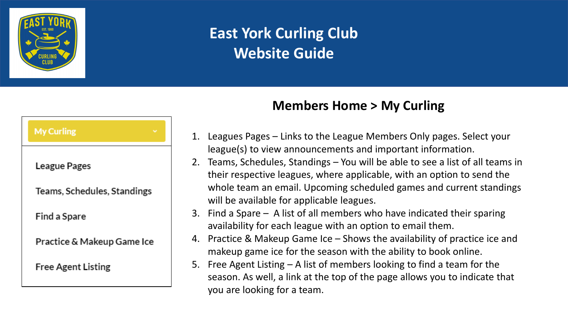

| <b>My Curling</b>           |  |  |
|-----------------------------|--|--|
| League Pages                |  |  |
| Teams, Schedules, Standings |  |  |
| <b>Find a Spare</b>         |  |  |
| Practice & Makeup Game Ice  |  |  |
| <b>Free Agent Listing</b>   |  |  |
|                             |  |  |

### **Members Home > My Curling**

- 1. Leagues Pages Links to the League Members Only pages. Select your league(s) to view announcements and important information.
- 2. Teams, Schedules, Standings You will be able to see a list of all teams in their respective leagues, where applicable, with an option to send the whole team an email. Upcoming scheduled games and current standings will be available for applicable leagues.
- 3. Find a Spare A list of all members who have indicated their sparing availability for each league with an option to email them.
- 4. Practice & Makeup Game Ice Shows the availability of practice ice and makeup game ice for the season with the ability to book online.
- 5. Free Agent Listing A list of members looking to find a team for the season. As well, a link at the top of the page allows you to indicate that you are looking for a team.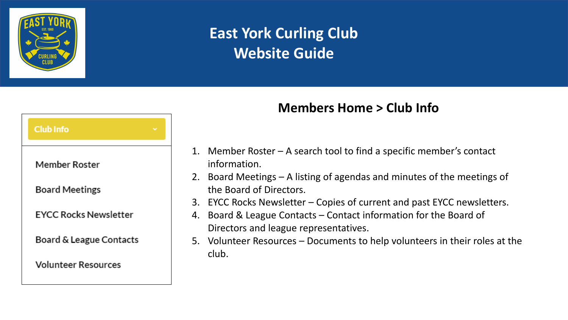

# **Club Info Member Roster Board Meetings EYCC Rocks Newsletter** Board & League Contacts **Volunteer Resources**

### **Members Home > Club Info**

- 1. Member Roster A search tool to find a specific member's contact information.
- 2. Board Meetings A listing of agendas and minutes of the meetings of the Board of Directors.
- 3. EYCC Rocks Newsletter Copies of current and past EYCC newsletters.
- 4. Board & League Contacts Contact information for the Board of Directors and league representatives.
- 5. Volunteer Resources Documents to help volunteers in their roles at the club.